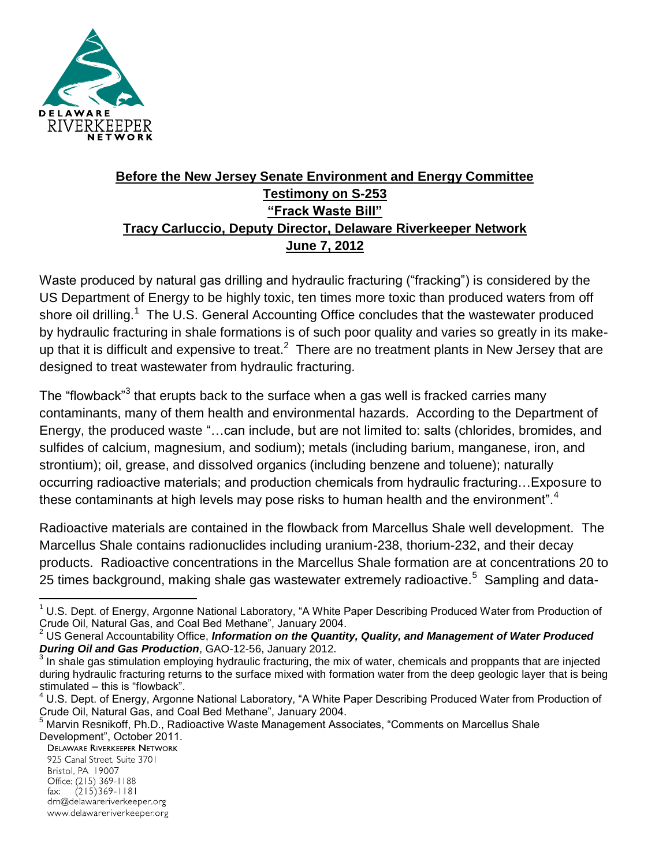

## **Before the New Jersey Senate Environment and Energy Committee Testimony on S-253 "Frack Waste Bill" Tracy Carluccio, Deputy Director, Delaware Riverkeeper Network June 7, 2012**

Waste produced by natural gas drilling and hydraulic fracturing ("fracking") is considered by the US Department of Energy to be highly toxic, ten times more toxic than produced waters from off shore oil drilling.<sup>1</sup> The U.S. General Accounting Office concludes that the wastewater produced by hydraulic fracturing in shale formations is of such poor quality and varies so greatly in its makeup that it is difficult and expensive to treat.<sup>2</sup> There are no treatment plants in New Jersey that are designed to treat wastewater from hydraulic fracturing.

The "flowback"<sup>3</sup> that erupts back to the surface when a gas well is fracked carries many contaminants, many of them health and environmental hazards. According to the Department of Energy, the produced waste "…can include, but are not limited to: salts (chlorides, bromides, and sulfides of calcium, magnesium, and sodium); metals (including barium, manganese, iron, and strontium); oil, grease, and dissolved organics (including benzene and toluene); naturally occurring radioactive materials; and production chemicals from hydraulic fracturing…Exposure to these contaminants at high levels may pose risks to human health and the environment".<sup>4</sup>

Radioactive materials are contained in the flowback from Marcellus Shale well development. The Marcellus Shale contains radionuclides including uranium-238, thorium-232, and their decay products. Radioactive concentrations in the Marcellus Shale formation are at concentrations 20 to 25 times background, making shale gas wastewater extremely radioactive.<sup>5</sup> Sampling and data-

925 Canal Street, Suite 3701 Bristol, PA 19007 Office: (215) 369-1188  $(215)369 - 1181$ fax: drn@delawareriverkeeper.org www.delawareriverkeeper.org

 $\overline{a}$  $1$  U.S. Dept. of Energy, Argonne National Laboratory, "A White Paper Describing Produced Water from Production of Crude Oil, Natural Gas, and Coal Bed Methane", January 2004.

<sup>2</sup> US General Accountability Office, *Information on the Quantity, Quality, and Management of Water Produced During Oil and Gas Production*, GAO-12-56, January 2012.

<sup>&</sup>lt;sup>3</sup> In shale gas stimulation employing hydraulic fracturing, the mix of water, chemicals and proppants that are injected during hydraulic fracturing returns to the surface mixed with formation water from the deep geologic layer that is being stimulated – this is "flowback".

 $4$  U.S. Dept. of Energy, Argonne National Laboratory, "A White Paper Describing Produced Water from Production of Crude Oil, Natural Gas, and Coal Bed Methane", January 2004.

<sup>&</sup>lt;sup>5</sup> Marvin Resnikoff, Ph.D., Radioactive Waste Management Associates, "Comments on Marcellus Shale Development", October 2011.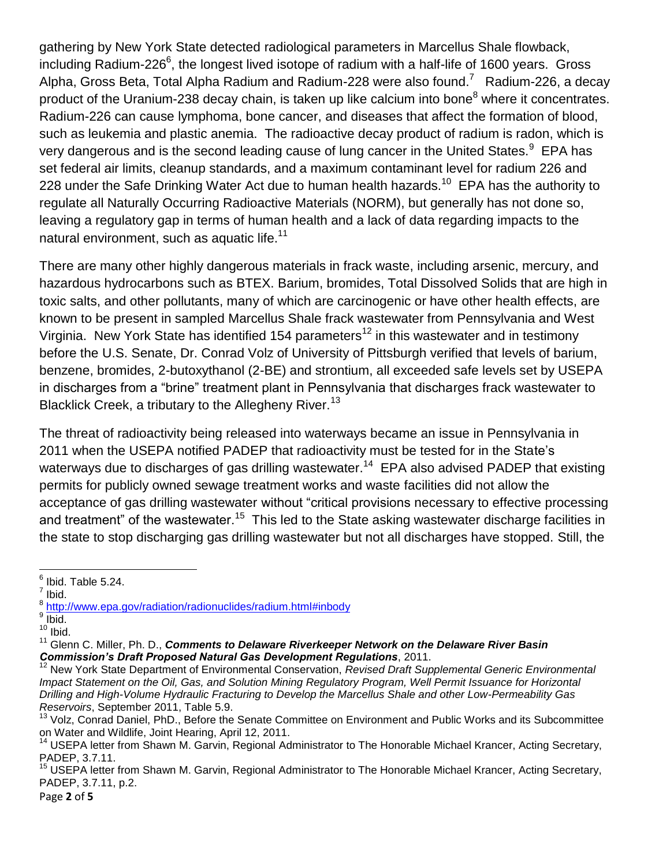gathering by New York State detected radiological parameters in Marcellus Shale flowback, including Radium-226<sup>6</sup>, the longest lived isotope of radium with a half-life of 1600 years. Gross Alpha, Gross Beta, Total Alpha Radium and Radium-228 were also found.<sup>7</sup> Radium-226, a decay product of the Uranium-238 decay chain, is taken up like calcium into bone<sup>8</sup> where it concentrates. Radium-226 can cause lymphoma, bone cancer, and diseases that affect the formation of blood, such as leukemia and plastic anemia. The radioactive decay product of radium is radon, which is very dangerous and is the second leading cause of lung cancer in the United States. $^9$  EPA has set federal air limits, cleanup standards, and a maximum contaminant level for radium 226 and 228 under the Safe Drinking Water Act due to human health hazards.<sup>10</sup> EPA has the authority to regulate all Naturally Occurring Radioactive Materials (NORM), but generally has not done so, leaving a regulatory gap in terms of human health and a lack of data regarding impacts to the natural environment, such as aquatic life. $^{11}$ 

There are many other highly dangerous materials in frack waste, including arsenic, mercury, and hazardous hydrocarbons such as BTEX. Barium, bromides, Total Dissolved Solids that are high in toxic salts, and other pollutants, many of which are carcinogenic or have other health effects, are known to be present in sampled Marcellus Shale frack wastewater from Pennsylvania and West Virginia. New York State has identified 154 parameters<sup>12</sup> in this wastewater and in testimony before the U.S. Senate, Dr. Conrad Volz of University of Pittsburgh verified that levels of barium, benzene, bromides, 2-butoxythanol (2-BE) and strontium, all exceeded safe levels set by USEPA in discharges from a "brine" treatment plant in Pennsylvania that discharges frack wastewater to Blacklick Creek, a tributary to the Allegheny River.<sup>13</sup>

The threat of radioactivity being released into waterways became an issue in Pennsylvania in 2011 when the USEPA notified PADEP that radioactivity must be tested for in the State's waterways due to discharges of gas drilling wastewater.<sup>14</sup> EPA also advised PADEP that existing permits for publicly owned sewage treatment works and waste facilities did not allow the acceptance of gas drilling wastewater without "critical provisions necessary to effective processing and treatment" of the wastewater.<sup>15</sup> This led to the State asking wastewater discharge facilities in the state to stop discharging gas drilling wastewater but not all discharges have stopped. Still, the

Page **2** of **5**

 6 Ibid. Table 5.24.

 $<sup>7</sup>$  Ibid.</sup>

<sup>&</sup>lt;sup>8</sup> <http://www.epa.gov/radiation/radionuclides/radium.html#inbody>

 $9$  lbid.

 $10$  Ibid.

<sup>&</sup>lt;sup>11</sup> Glenn C. Miller, Ph. D., *Comments to Delaware Riverkeeper Network on the Delaware River Basin Commission's Draft Proposed Natural Gas Development Regulations*, 2011.

<sup>12</sup> New York State Department of Environmental Conservation, *Revised Draft Supplemental Generic Environmental Impact Statement on the Oil, Gas, and Solution Mining Regulatory Program, Well Permit Issuance for Horizontal Drilling and High-Volume Hydraulic Fracturing to Develop the Marcellus Shale and other Low-Permeability Gas Reservoirs*, September 2011, Table 5.9.

<sup>13</sup> Volz, Conrad Daniel, PhD., Before the Senate Committee on Environment and Public Works and its Subcommittee on Water and Wildlife, Joint Hearing, April 12, 2011.

<sup>&</sup>lt;sup>14</sup> USEPA letter from Shawn M. Garvin, Regional Administrator to The Honorable Michael Krancer, Acting Secretary, PADEP, 3.7.11.

USEPA letter from Shawn M. Garvin, Regional Administrator to The Honorable Michael Krancer, Acting Secretary, PADEP, 3.7.11, p.2.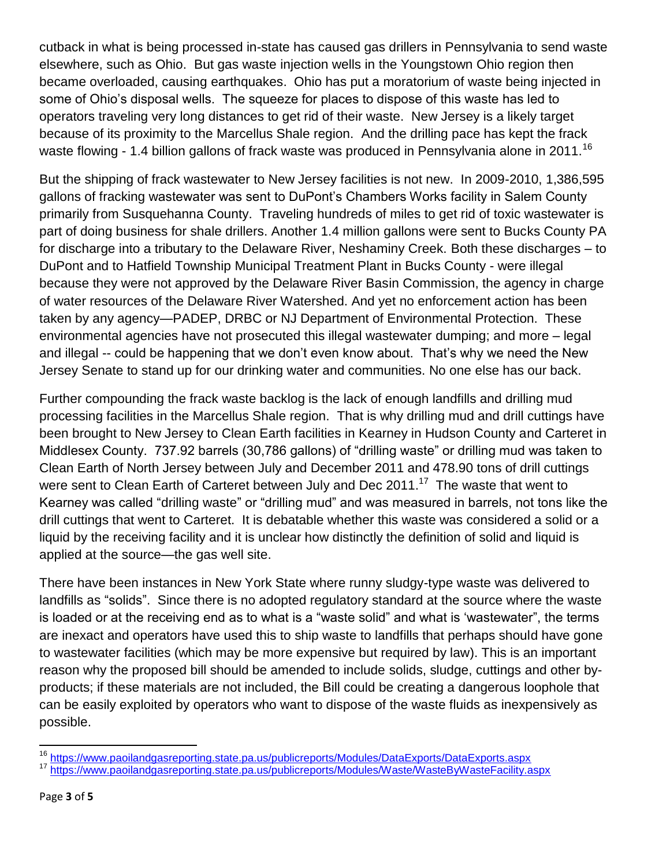cutback in what is being processed in-state has caused gas drillers in Pennsylvania to send waste elsewhere, such as Ohio. But gas waste injection wells in the Youngstown Ohio region then became overloaded, causing earthquakes. Ohio has put a moratorium of waste being injected in some of Ohio's disposal wells. The squeeze for places to dispose of this waste has led to operators traveling very long distances to get rid of their waste. New Jersey is a likely target because of its proximity to the Marcellus Shale region. And the drilling pace has kept the frack waste flowing - 1.4 billion gallons of frack waste was produced in Pennsylvania alone in 2011.<sup>16</sup>

But the shipping of frack wastewater to New Jersey facilities is not new. In 2009-2010, 1,386,595 gallons of fracking wastewater was sent to DuPont's Chambers Works facility in Salem County primarily from Susquehanna County. Traveling hundreds of miles to get rid of toxic wastewater is part of doing business for shale drillers. Another 1.4 million gallons were sent to Bucks County PA for discharge into a tributary to the Delaware River, Neshaminy Creek. Both these discharges – to DuPont and to Hatfield Township Municipal Treatment Plant in Bucks County - were illegal because they were not approved by the Delaware River Basin Commission, the agency in charge of water resources of the Delaware River Watershed. And yet no enforcement action has been taken by any agency—PADEP, DRBC or NJ Department of Environmental Protection. These environmental agencies have not prosecuted this illegal wastewater dumping; and more – legal and illegal -- could be happening that we don't even know about. That's why we need the New Jersey Senate to stand up for our drinking water and communities. No one else has our back.

Further compounding the frack waste backlog is the lack of enough landfills and drilling mud processing facilities in the Marcellus Shale region. That is why drilling mud and drill cuttings have been brought to New Jersey to Clean Earth facilities in Kearney in Hudson County and Carteret in Middlesex County. 737.92 barrels (30,786 gallons) of "drilling waste" or drilling mud was taken to Clean Earth of North Jersey between July and December 2011 and 478.90 tons of drill cuttings were sent to Clean Earth of Carteret between July and Dec 2011.<sup>17</sup> The waste that went to Kearney was called "drilling waste" or "drilling mud" and was measured in barrels, not tons like the drill cuttings that went to Carteret. It is debatable whether this waste was considered a solid or a liquid by the receiving facility and it is unclear how distinctly the definition of solid and liquid is applied at the source—the gas well site.

There have been instances in New York State where runny sludgy-type waste was delivered to landfills as "solids". Since there is no adopted regulatory standard at the source where the waste is loaded or at the receiving end as to what is a "waste solid" and what is 'wastewater", the terms are inexact and operators have used this to ship waste to landfills that perhaps should have gone to wastewater facilities (which may be more expensive but required by law). This is an important reason why the proposed bill should be amended to include solids, sludge, cuttings and other byproducts; if these materials are not included, the Bill could be creating a dangerous loophole that can be easily exploited by operators who want to dispose of the waste fluids as inexpensively as possible.

 $\overline{\phantom{a}}$ 

<sup>&</sup>lt;sup>16</sup> https://www.paoilandgasreporting.state.pa.us/publicreports/Modules/DataExports/DataExports.aspx

<sup>&</sup>lt;sup>17</sup> <https://www.paoilandgasreporting.state.pa.us/publicreports/Modules/Waste/WasteByWasteFacility.aspx>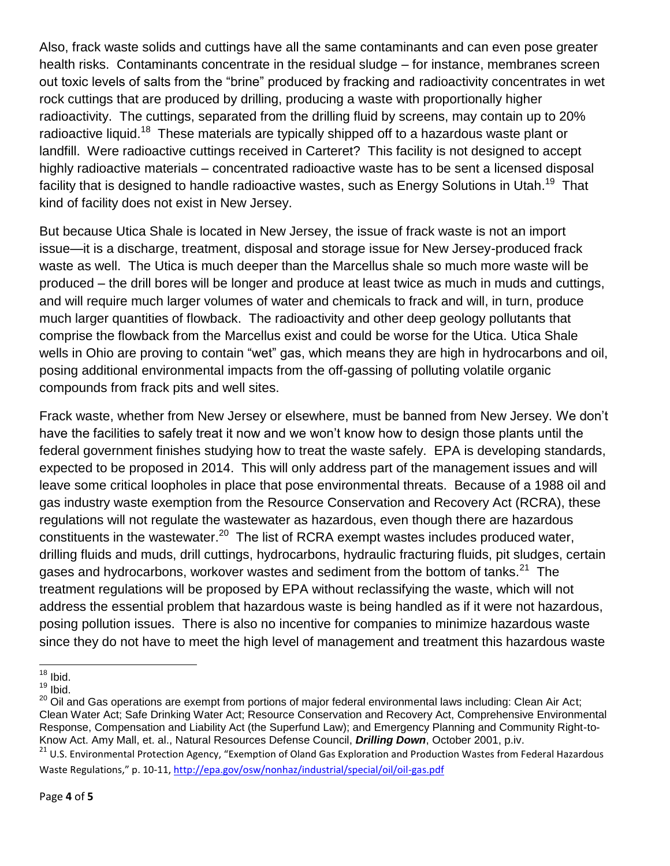Also, frack waste solids and cuttings have all the same contaminants and can even pose greater health risks. Contaminants concentrate in the residual sludge – for instance, membranes screen out toxic levels of salts from the "brine" produced by fracking and radioactivity concentrates in wet rock cuttings that are produced by drilling, producing a waste with proportionally higher radioactivity. The cuttings, separated from the drilling fluid by screens, may contain up to 20% radioactive liquid.<sup>18</sup> These materials are typically shipped off to a hazardous waste plant or landfill. Were radioactive cuttings received in Carteret? This facility is not designed to accept highly radioactive materials – concentrated radioactive waste has to be sent a licensed disposal facility that is designed to handle radioactive wastes, such as Energy Solutions in Utah.<sup>19</sup> That kind of facility does not exist in New Jersey.

But because Utica Shale is located in New Jersey, the issue of frack waste is not an import issue—it is a discharge, treatment, disposal and storage issue for New Jersey-produced frack waste as well. The Utica is much deeper than the Marcellus shale so much more waste will be produced – the drill bores will be longer and produce at least twice as much in muds and cuttings, and will require much larger volumes of water and chemicals to frack and will, in turn, produce much larger quantities of flowback. The radioactivity and other deep geology pollutants that comprise the flowback from the Marcellus exist and could be worse for the Utica. Utica Shale wells in Ohio are proving to contain "wet" gas, which means they are high in hydrocarbons and oil, posing additional environmental impacts from the off-gassing of polluting volatile organic compounds from frack pits and well sites.

Frack waste, whether from New Jersey or elsewhere, must be banned from New Jersey. We don't have the facilities to safely treat it now and we won't know how to design those plants until the federal government finishes studying how to treat the waste safely. EPA is developing standards, expected to be proposed in 2014. This will only address part of the management issues and will leave some critical loopholes in place that pose environmental threats. Because of a 1988 oil and gas industry waste exemption from the Resource Conservation and Recovery Act (RCRA), these regulations will not regulate the wastewater as hazardous, even though there are hazardous constituents in the wastewater. $^{20}$  The list of RCRA exempt wastes includes produced water, drilling fluids and muds, drill cuttings, hydrocarbons, hydraulic fracturing fluids, pit sludges, certain gases and hydrocarbons, workover wastes and sediment from the bottom of tanks.<sup>21</sup> The treatment regulations will be proposed by EPA without reclassifying the waste, which will not address the essential problem that hazardous waste is being handled as if it were not hazardous, posing pollution issues. There is also no incentive for companies to minimize hazardous waste since they do not have to meet the high level of management and treatment this hazardous waste

Waste Regulations," p. 10-11,<http://epa.gov/osw/nonhaz/industrial/special/oil/oil-gas.pdf>

 $\overline{\phantom{a}}$  $18$  lbid.

 $19$  lbid.

<sup>&</sup>lt;sup>20</sup> Oil and Gas operations are exempt from portions of major federal environmental laws including: Clean Air Act; Clean Water Act; Safe Drinking Water Act; Resource Conservation and Recovery Act, Comprehensive Environmental Response, Compensation and Liability Act (the Superfund Law); and Emergency Planning and Community Right-to-Know Act. Amy Mall, et. al., Natural Resources Defense Council, *Drilling Down*, October 2001, p.iv. <sup>21</sup> U.S. Environmental Protection Agency, "Exemption of Oland Gas Exploration and Production Wastes from Federal Hazardous